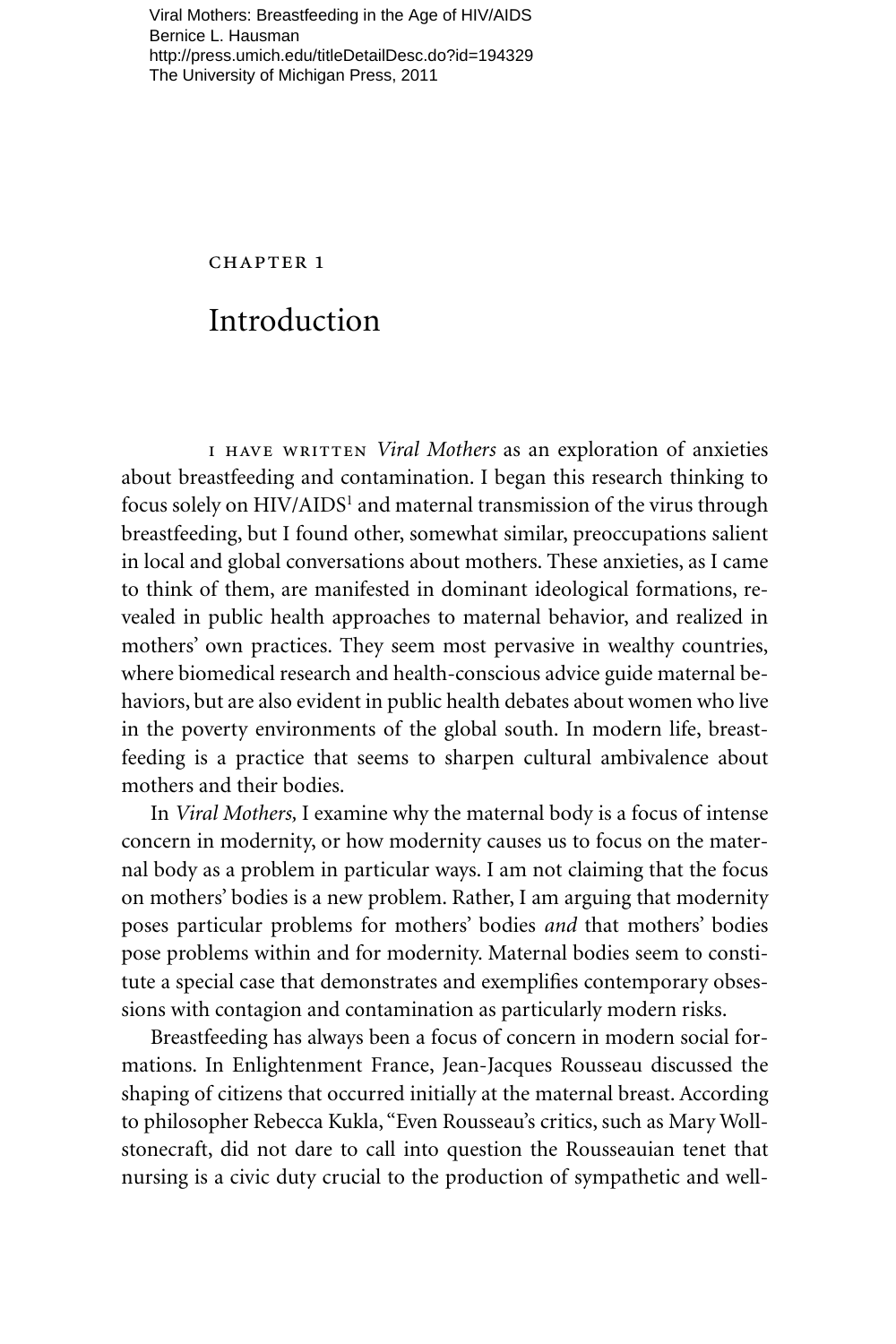CHAPTER 1

# Introduction

I HAVE WRITTEN *Viral Mothers* as an exploration of anxieties about breastfeeding and contamination. I began this research thinking to focus solely on HIV/AIDS<sup>1</sup> and maternal transmission of the virus through breastfeeding, but I found other, somewhat similar, preoccupations salient in local and global conversations about mothers. These anxieties, as I came to think of them, are manifested in dominant ideological formations, revealed in public health approaches to maternal behavior, and realized in mothers' own practices. They seem most pervasive in wealthy countries, where biomedical research and health-conscious advice guide maternal behaviors, but are also evident in public health debates about women who live in the poverty environments of the global south. In modern life, breastfeeding is a practice that seems to sharpen cultural ambivalence about mothers and their bodies.

In *Viral Mothers,* I examine why the maternal body is a focus of intense concern in modernity, or how modernity causes us to focus on the maternal body as a problem in particular ways. I am not claiming that the focus on mothers' bodies is a new problem. Rather, I am arguing that modernity poses particular problems for mothers' bodies *and* that mothers' bodies pose problems within and for modernity. Maternal bodies seem to constitute a special case that demonstrates and exemplifies contemporary obsessions with contagion and contamination as particularly modern risks.

Breastfeeding has always been a focus of concern in modern social formations. In Enlightenment France, Jean-Jacques Rousseau discussed the shaping of citizens that occurred initially at the maternal breast. According to philosopher Rebecca Kukla, "Even Rousseau's critics, such as Mary Wollstonecraft, did not dare to call into question the Rousseauian tenet that nursing is a civic duty crucial to the production of sympathetic and well-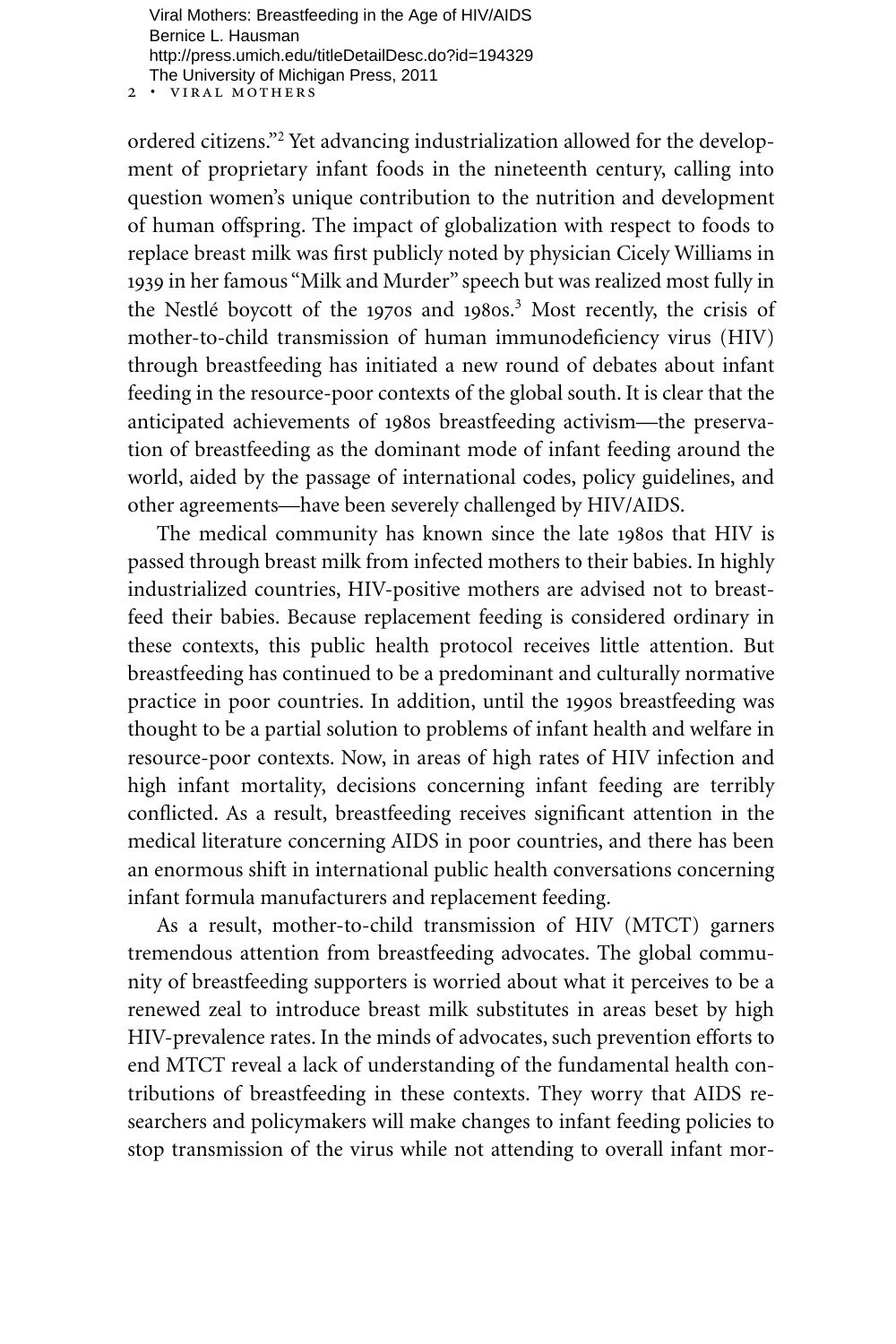2 • viral mothers

ordered citizens."<sup>2</sup> Yet advancing industrialization allowed for the development of proprietary infant foods in the nineteenth century, calling into question women's unique contribution to the nutrition and development of human offspring. The impact of globalization with respect to foods to replace breast milk was first publicly noted by physician Cicely Williams in 1939 in her famous "Milk and Murder" speech but was realized most fully in the Nestlé boycott of the 1970s and 1980s.<sup>3</sup> Most recently, the crisis of mother-to-child transmission of human immunodeficiency virus (HIV) through breastfeeding has initiated a new round of debates about infant feeding in the resource-poor contexts of the global south. It is clear that the anticipated achievements of 1980s breastfeeding activism—the preservation of breastfeeding as the dominant mode of infant feeding around the world, aided by the passage of international codes, policy guidelines, and other agreements—have been severely challenged by HIV/AIDS.

The medical community has known since the late 1980s that HIV is passed through breast milk from infected mothers to their babies. In highly industrialized countries, HIV-positive mothers are advised not to breastfeed their babies. Because replacement feeding is considered ordinary in these contexts, this public health protocol receives little attention. But breastfeeding has continued to be a predominant and culturally normative practice in poor countries. In addition, until the 1990s breastfeeding was thought to be a partial solution to problems of infant health and welfare in resource-poor contexts. Now, in areas of high rates of HIV infection and high infant mortality, decisions concerning infant feeding are terribly conflicted. As a result, breastfeeding receives significant attention in the medical literature concerning AIDS in poor countries, and there has been an enormous shift in international public health conversations concerning infant formula manufacturers and replacement feeding.

As a result, mother-to-child transmission of HIV (MTCT) garners tremendous attention from breastfeeding advocates. The global community of breastfeeding supporters is worried about what it perceives to be a renewed zeal to introduce breast milk substitutes in areas beset by high HIV-prevalence rates. In the minds of advocates, such prevention efforts to end MTCT reveal a lack of understanding of the fundamental health contributions of breastfeeding in these contexts. They worry that AIDS researchers and policymakers will make changes to infant feeding policies to stop transmission of the virus while not attending to overall infant mor-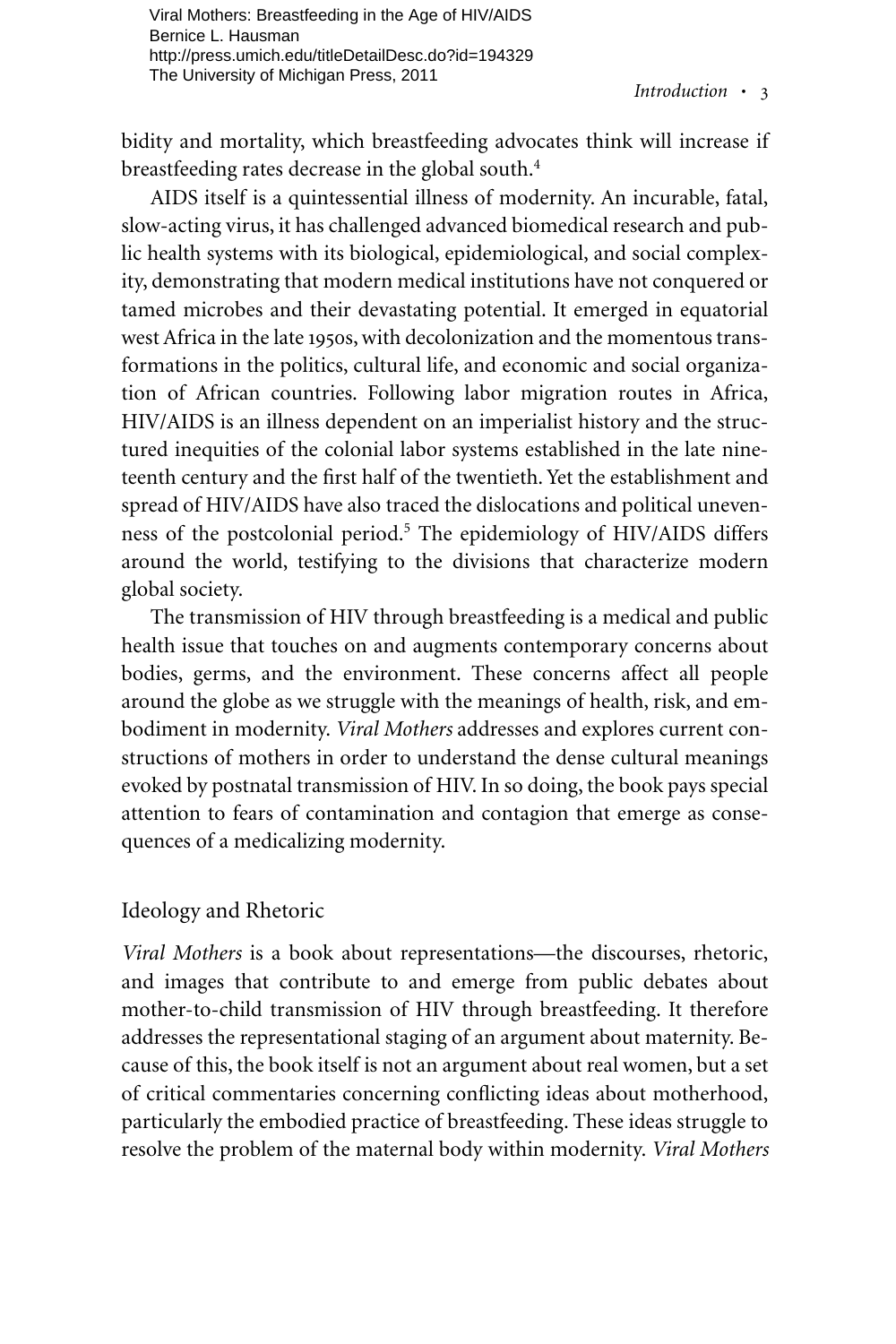bidity and mortality, which breastfeeding advocates think will increase if breastfeeding rates decrease in the global south.<sup>4</sup>

AIDS itself is a quintessential illness of modernity. An incurable, fatal, slow-acting virus, it has challenged advanced biomedical research and public health systems with its biological, epidemiological, and social complexity, demonstrating that modern medical institutions have not conquered or tamed microbes and their devastating potential. It emerged in equatorial west Africa in the late 1950s, with decolonization and the momentous transformations in the politics, cultural life, and economic and social organization of African countries. Following labor migration routes in Africa, HIV/AIDS is an illness dependent on an imperialist history and the structured inequities of the colonial labor systems established in the late nineteenth century and the first half of the twentieth. Yet the establishment and spread of HIV/AIDS have also traced the dislocations and political unevenness of the postcolonial period.<sup>5</sup> The epidemiology of HIV/AIDS differs around the world, testifying to the divisions that characterize modern global society.

The transmission of HIV through breastfeeding is a medical and public health issue that touches on and augments contemporary concerns about bodies, germs, and the environment. These concerns affect all people around the globe as we struggle with the meanings of health, risk, and embodiment in modernity. *Viral Mothers* addresses and explores current constructions of mothers in order to understand the dense cultural meanings evoked by postnatal transmission of HIV. In so doing, the book pays special attention to fears of contamination and contagion that emerge as consequences of a medicalizing modernity.

# Ideology and Rhetoric

*Viral Mothers* is a book about representations—the discourses, rhetoric, and images that contribute to and emerge from public debates about mother-to-child transmission of HIV through breastfeeding. It therefore addresses the representational staging of an argument about maternity. Because of this, the book itself is not an argument about real women, but a set of critical commentaries concerning conflicting ideas about motherhood, particularly the embodied practice of breastfeeding. These ideas struggle to resolve the problem of the maternal body within modernity. *Viral Mothers*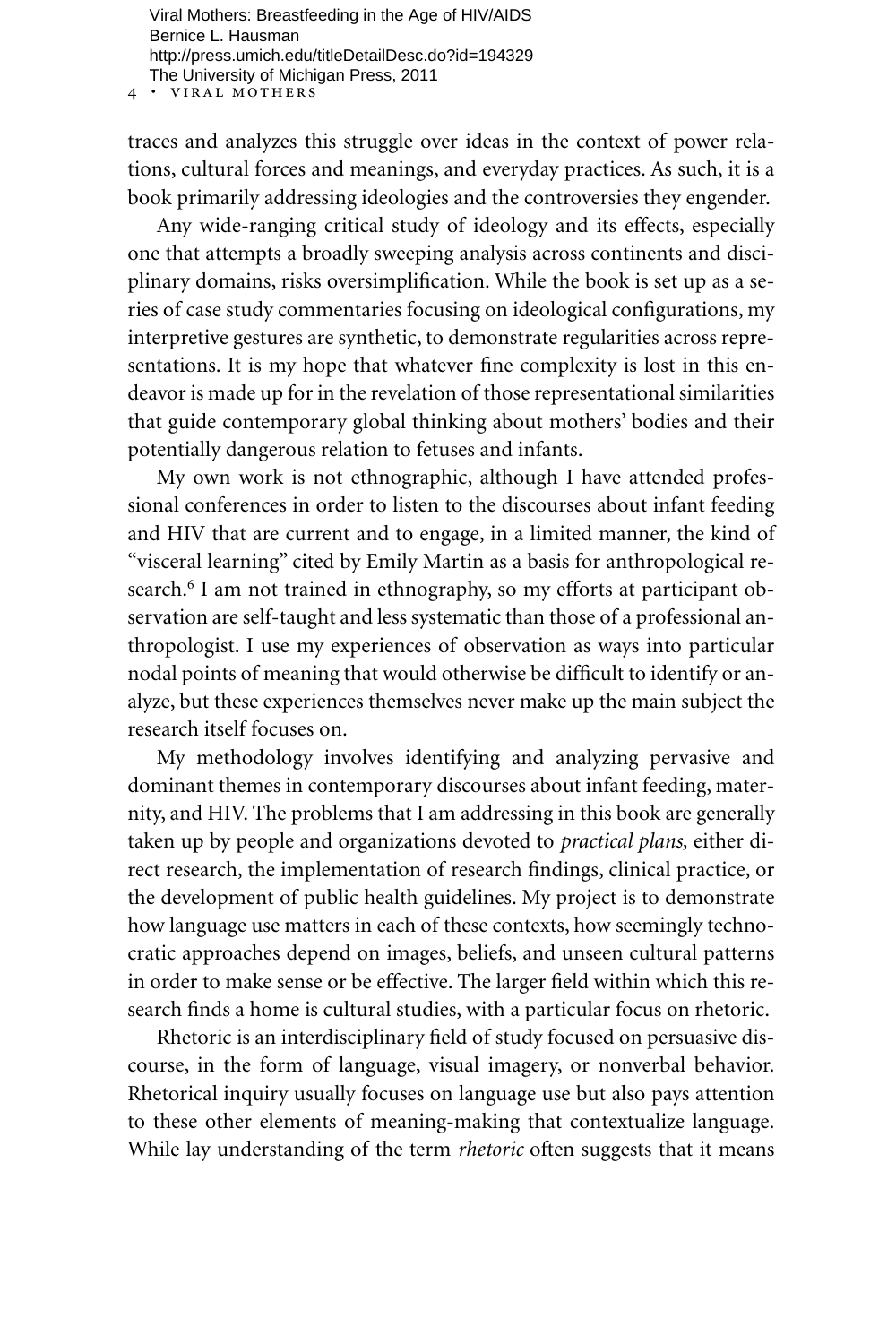4 • viral mothers

traces and analyzes this struggle over ideas in the context of power relations, cultural forces and meanings, and everyday practices. As such, it is a book primarily addressing ideologies and the controversies they engender.

Any wide-ranging critical study of ideology and its effects, especially one that attempts a broadly sweeping analysis across continents and disciplinary domains, risks oversimplification. While the book is set up as a series of case study commentaries focusing on ideological configurations, my interpretive gestures are synthetic, to demonstrate regularities across representations. It is my hope that whatever fine complexity is lost in this endeavor is made up for in the revelation of those representational similarities that guide contemporary global thinking about mothers' bodies and their potentially dangerous relation to fetuses and infants.

My own work is not ethnographic, although I have attended professional conferences in order to listen to the discourses about infant feeding and HIV that are current and to engage, in a limited manner, the kind of "visceral learning" cited by Emily Martin as a basis for anthropological research.<sup>6</sup> I am not trained in ethnography, so my efforts at participant observation are self-taught and less systematic than those of a professional anthropologist. I use my experiences of observation as ways into particular nodal points of meaning that would otherwise be difficult to identify or analyze, but these experiences themselves never make up the main subject the research itself focuses on.

My methodology involves identifying and analyzing pervasive and dominant themes in contemporary discourses about infant feeding, maternity, and HIV. The problems that I am addressing in this book are generally taken up by people and organizations devoted to *practical plans,* either direct research, the implementation of research findings, clinical practice, or the development of public health guidelines. My project is to demonstrate how language use matters in each of these contexts, how seemingly technocratic approaches depend on images, beliefs, and unseen cultural patterns in order to make sense or be effective. The larger field within which this research finds a home is cultural studies, with a particular focus on rhetoric.

Rhetoric is an interdisciplinary field of study focused on persuasive discourse, in the form of language, visual imagery, or nonverbal behavior. Rhetorical inquiry usually focuses on language use but also pays attention to these other elements of meaning-making that contextualize language. While lay understanding of the term *rhetoric* often suggests that it means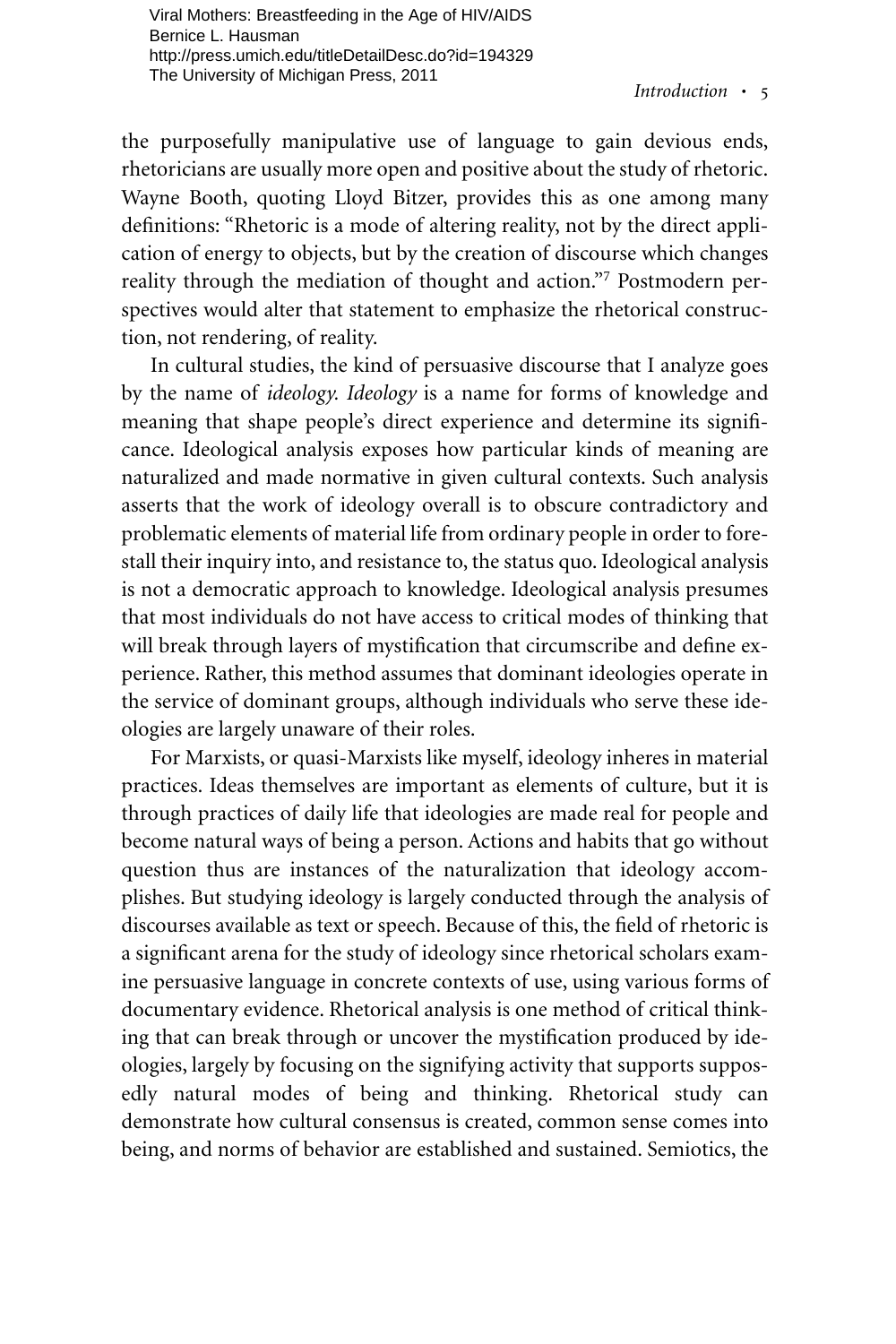the purposefully manipulative use of language to gain devious ends, rhetoricians are usually more open and positive about the study of rhetoric. Wayne Booth, quoting Lloyd Bitzer, provides this as one among many definitions: "Rhetoric is a mode of altering reality, not by the direct application of energy to objects, but by the creation of discourse which changes reality through the mediation of thought and action."<sup>7</sup> Postmodern perspectives would alter that statement to emphasize the rhetorical construction, not rendering, of reality.

In cultural studies, the kind of persuasive discourse that I analyze goes by the name of *ideology. Ideology* is a name for forms of knowledge and meaning that shape people's direct experience and determine its significance. Ideological analysis exposes how particular kinds of meaning are naturalized and made normative in given cultural contexts. Such analysis asserts that the work of ideology overall is to obscure contradictory and problematic elements of material life from ordinary people in order to forestall their inquiry into, and resistance to, the status quo. Ideological analysis is not a democratic approach to knowledge. Ideological analysis presumes that most individuals do not have access to critical modes of thinking that will break through layers of mystification that circumscribe and define experience. Rather, this method assumes that dominant ideologies operate in the service of dominant groups, although individuals who serve these ideologies are largely unaware of their roles.

For Marxists, or quasi-Marxists like myself, ideology inheres in material practices. Ideas themselves are important as elements of culture, but it is through practices of daily life that ideologies are made real for people and become natural ways of being a person. Actions and habits that go without question thus are instances of the naturalization that ideology accomplishes. But studying ideology is largely conducted through the analysis of discourses available as text or speech. Because of this, the field of rhetoric is a significant arena for the study of ideology since rhetorical scholars examine persuasive language in concrete contexts of use, using various forms of documentary evidence. Rhetorical analysis is one method of critical thinking that can break through or uncover the mystification produced by ideologies, largely by focusing on the signifying activity that supports supposedly natural modes of being and thinking. Rhetorical study can demonstrate how cultural consensus is created, common sense comes into being, and norms of behavior are established and sustained. Semiotics, the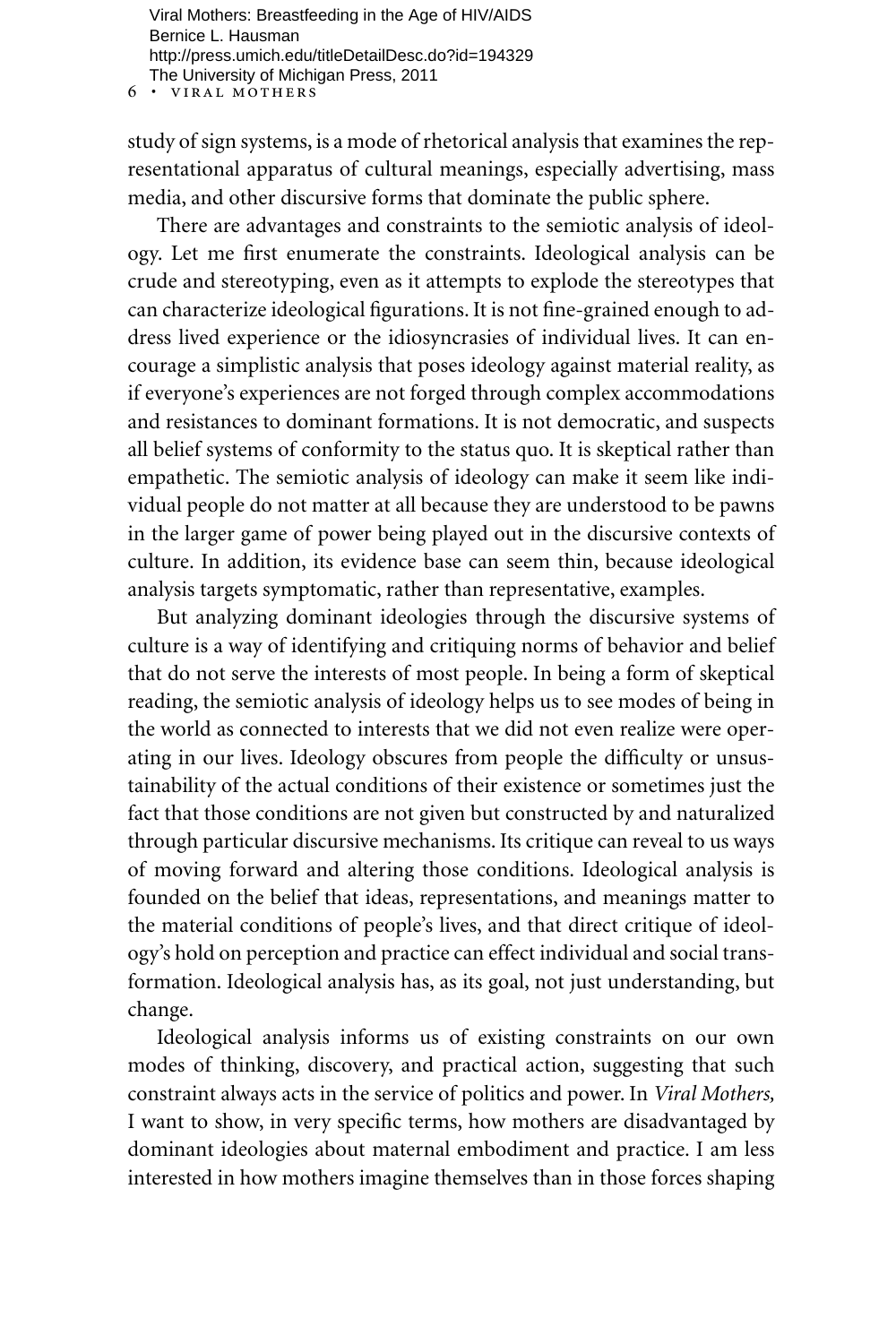6 • viral mothers

study of sign systems, is a mode of rhetorical analysis that examines the representational apparatus of cultural meanings, especially advertising, mass media, and other discursive forms that dominate the public sphere.

There are advantages and constraints to the semiotic analysis of ideology. Let me first enumerate the constraints. Ideological analysis can be crude and stereotyping, even as it attempts to explode the stereotypes that can characterize ideological figurations. It is not fine-grained enough to address lived experience or the idiosyncrasies of individual lives. It can encourage a simplistic analysis that poses ideology against material reality, as if everyone's experiences are not forged through complex accommodations and resistances to dominant formations. It is not democratic, and suspects all belief systems of conformity to the status quo. It is skeptical rather than empathetic. The semiotic analysis of ideology can make it seem like individual people do not matter at all because they are understood to be pawns in the larger game of power being played out in the discursive contexts of culture. In addition, its evidence base can seem thin, because ideological analysis targets symptomatic, rather than representative, examples.

But analyzing dominant ideologies through the discursive systems of culture is a way of identifying and critiquing norms of behavior and belief that do not serve the interests of most people. In being a form of skeptical reading, the semiotic analysis of ideology helps us to see modes of being in the world as connected to interests that we did not even realize were operating in our lives. Ideology obscures from people the difficulty or unsustainability of the actual conditions of their existence or sometimes just the fact that those conditions are not given but constructed by and naturalized through particular discursive mechanisms. Its critique can reveal to us ways of moving forward and altering those conditions. Ideological analysis is founded on the belief that ideas, representations, and meanings matter to the material conditions of people's lives, and that direct critique of ideology's hold on perception and practice can effect individual and social transformation. Ideological analysis has, as its goal, not just understanding, but change.

Ideological analysis informs us of existing constraints on our own modes of thinking, discovery, and practical action, suggesting that such constraint always acts in the service of politics and power. In *Viral Mothers,* I want to show, in very specific terms, how mothers are disadvantaged by dominant ideologies about maternal embodiment and practice. I am less interested in how mothers imagine themselves than in those forces shaping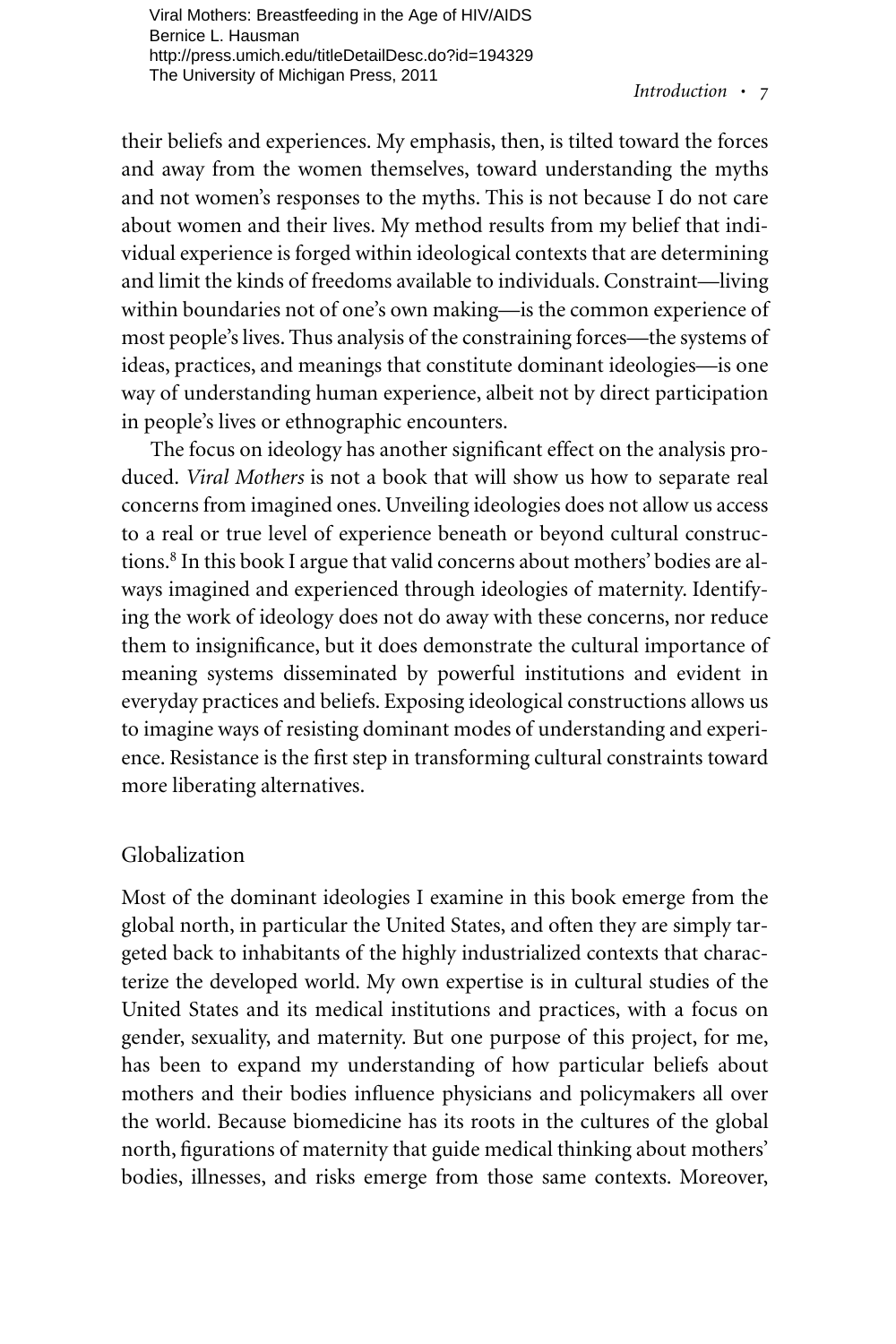*Introduction* • 7

their beliefs and experiences. My emphasis, then, is tilted toward the forces and away from the women themselves, toward understanding the myths and not women's responses to the myths. This is not because I do not care about women and their lives. My method results from my belief that individual experience is forged within ideological contexts that are determining and limit the kinds of freedoms available to individuals. Constraint—living within boundaries not of one's own making—is the common experience of most people's lives. Thus analysis of the constraining forces—the systems of ideas, practices, and meanings that constitute dominant ideologies—is one way of understanding human experience, albeit not by direct participation in people's lives or ethnographic encounters.

The focus on ideology has another significant effect on the analysis produced. *Viral Mothers* is not a book that will show us how to separate real concerns from imagined ones. Unveiling ideologies does not allow us access to a real or true level of experience beneath or beyond cultural constructions.<sup>8</sup> In this book I argue that valid concerns about mothers' bodies are always imagined and experienced through ideologies of maternity. Identifying the work of ideology does not do away with these concerns, nor reduce them to insignificance, but it does demonstrate the cultural importance of meaning systems disseminated by powerful institutions and evident in everyday practices and beliefs. Exposing ideological constructions allows us to imagine ways of resisting dominant modes of understanding and experience. Resistance is the first step in transforming cultural constraints toward more liberating alternatives.

### Globalization

Most of the dominant ideologies I examine in this book emerge from the global north, in particular the United States, and often they are simply targeted back to inhabitants of the highly industrialized contexts that characterize the developed world. My own expertise is in cultural studies of the United States and its medical institutions and practices, with a focus on gender, sexuality, and maternity. But one purpose of this project, for me, has been to expand my understanding of how particular beliefs about mothers and their bodies influence physicians and policymakers all over the world. Because biomedicine has its roots in the cultures of the global north, figurations of maternity that guide medical thinking about mothers' bodies, illnesses, and risks emerge from those same contexts. Moreover,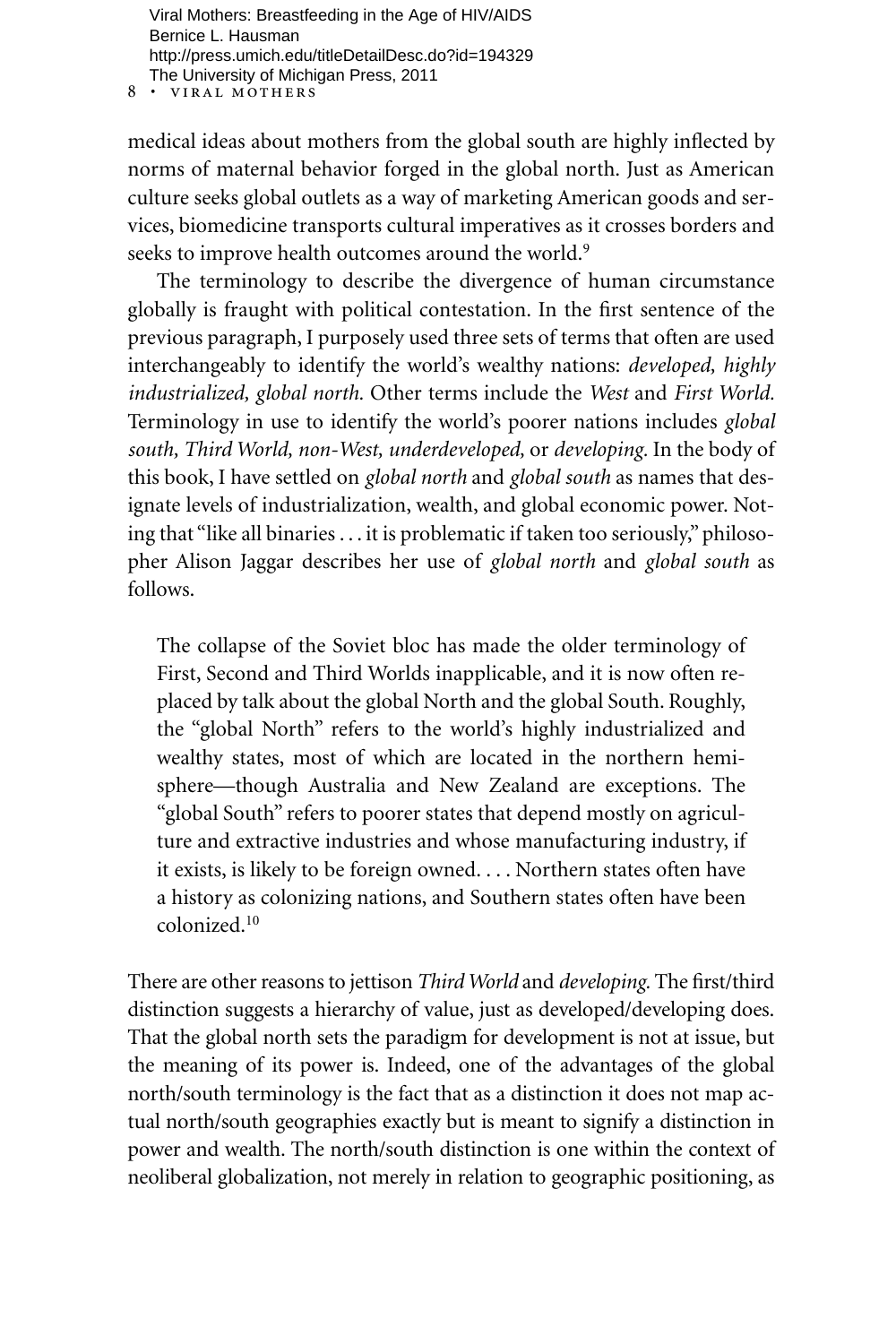8 • viral mothers

medical ideas about mothers from the global south are highly inflected by norms of maternal behavior forged in the global north. Just as American culture seeks global outlets as a way of marketing American goods and services, biomedicine transports cultural imperatives as it crosses borders and seeks to improve health outcomes around the world.<sup>9</sup>

The terminology to describe the divergence of human circumstance globally is fraught with political contestation. In the first sentence of the previous paragraph, I purposely used three sets of terms that often are used interchangeably to identify the world's wealthy nations: *developed, highly industrialized, global north.* Other terms include the *West* and *First World.* Terminology in use to identify the world's poorer nations includes *global south, Third World, non-West, underdeveloped,* or *developing.* In the body of this book, I have settled on *global north* and *global south* as names that designate levels of industrialization, wealth, and global economic power. Noting that "like all binaries . . . it is problematic if taken too seriously," philosopher Alison Jaggar describes her use of *global north* and *global south* as follows.

The collapse of the Soviet bloc has made the older terminology of First, Second and Third Worlds inapplicable, and it is now often replaced by talk about the global North and the global South. Roughly, the "global North" refers to the world's highly industrialized and wealthy states, most of which are located in the northern hemisphere—though Australia and New Zealand are exceptions. The "global South" refers to poorer states that depend mostly on agriculture and extractive industries and whose manufacturing industry, if it exists, is likely to be foreign owned. . . . Northern states often have a history as colonizing nations, and Southern states often have been colonized.<sup>10</sup>

There are other reasons to jettison *Third World* and *developing*. The first/third distinction suggests a hierarchy of value, just as developed/developing does. That the global north sets the paradigm for development is not at issue, but the meaning of its power is. Indeed, one of the advantages of the global north/south terminology is the fact that as a distinction it does not map actual north/south geographies exactly but is meant to signify a distinction in power and wealth. The north/south distinction is one within the context of neoliberal globalization, not merely in relation to geographic positioning, as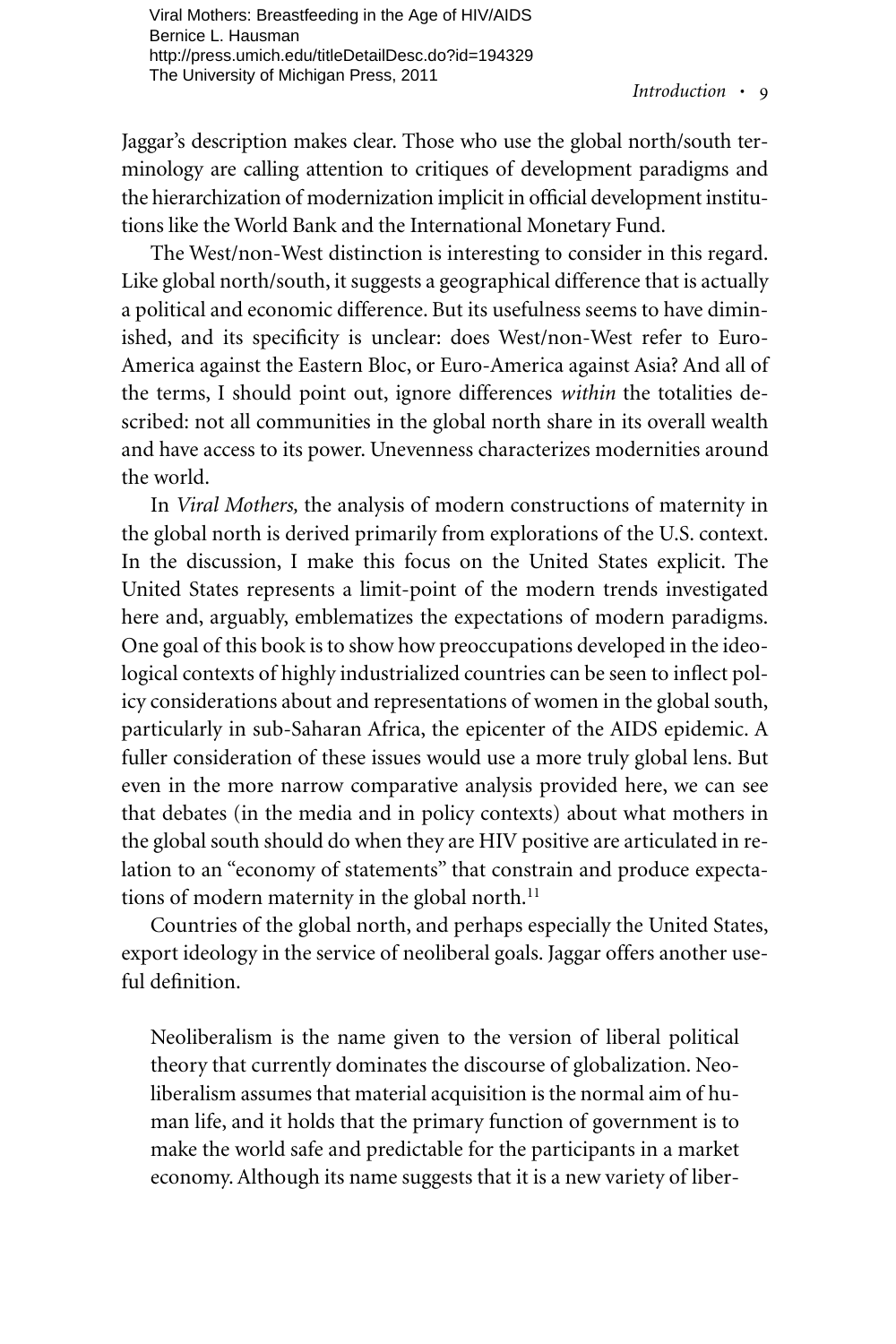Jaggar's description makes clear. Those who use the global north/south terminology are calling attention to critiques of development paradigms and the hierarchization of modernization implicit in official development institutions like the World Bank and the International Monetary Fund.

The West/non-West distinction is interesting to consider in this regard. Like global north/south, it suggests a geographical difference that is actually a political and economic difference. But its usefulness seems to have diminished, and its specificity is unclear: does West/non-West refer to Euro-America against the Eastern Bloc, or Euro-America against Asia? And all of the terms, I should point out, ignore differences *within* the totalities described: not all communities in the global north share in its overall wealth and have access to its power. Unevenness characterizes modernities around the world.

In *Viral Mothers,* the analysis of modern constructions of maternity in the global north is derived primarily from explorations of the U.S. context. In the discussion, I make this focus on the United States explicit. The United States represents a limit-point of the modern trends investigated here and, arguably, emblematizes the expectations of modern paradigms. One goal of this book is to show how preoccupations developed in the ideological contexts of highly industrialized countries can be seen to inflect policy considerations about and representations of women in the global south, particularly in sub-Saharan Africa, the epicenter of the AIDS epidemic. A fuller consideration of these issues would use a more truly global lens. But even in the more narrow comparative analysis provided here, we can see that debates (in the media and in policy contexts) about what mothers in the global south should do when they are HIV positive are articulated in relation to an "economy of statements" that constrain and produce expectations of modern maternity in the global north.<sup>11</sup>

Countries of the global north, and perhaps especially the United States, export ideology in the service of neoliberal goals. Jaggar offers another useful definition.

Neoliberalism is the name given to the version of liberal political theory that currently dominates the discourse of globalization. Neoliberalism assumes that material acquisition is the normal aim of human life, and it holds that the primary function of government is to make the world safe and predictable for the participants in a market economy. Although its name suggests that it is a new variety of liber-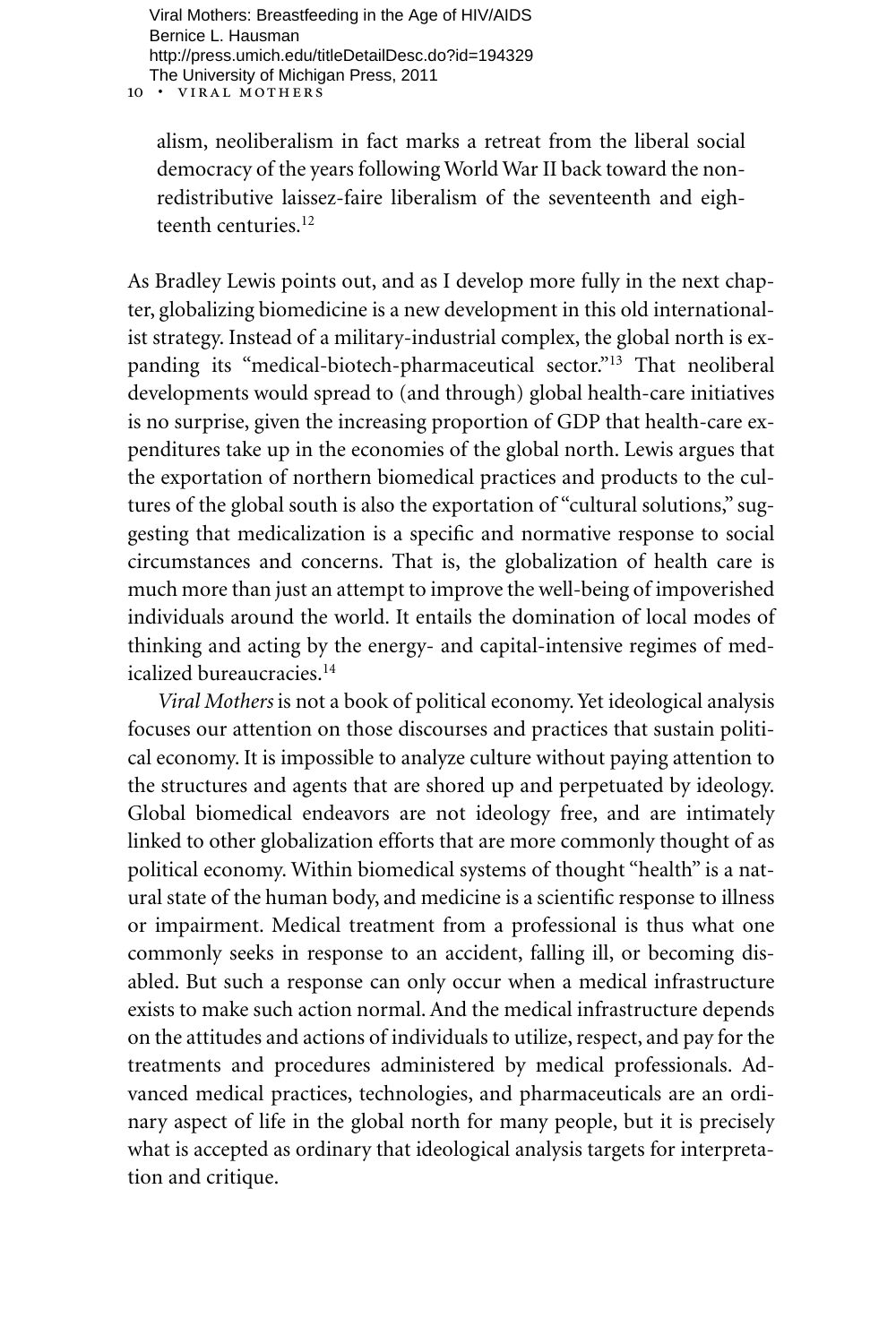10 • viral mothers

alism, neoliberalism in fact marks a retreat from the liberal social democracy of the years following World War II back toward the nonredistributive laissez-faire liberalism of the seventeenth and eighteenth centuries<sup>12</sup>

As Bradley Lewis points out, and as I develop more fully in the next chapter, globalizing biomedicine is a new development in this old internationalist strategy. Instead of a military-industrial complex, the global north is expanding its "medical-biotech-pharmaceutical sector."<sup>13</sup> That neoliberal developments would spread to (and through) global health-care initiatives is no surprise, given the increasing proportion of GDP that health-care expenditures take up in the economies of the global north. Lewis argues that the exportation of northern biomedical practices and products to the cultures of the global south is also the exportation of "cultural solutions," suggesting that medicalization is a specific and normative response to social circumstances and concerns. That is, the globalization of health care is much more than just an attempt to improve the well-being of impoverished individuals around the world. It entails the domination of local modes of thinking and acting by the energy- and capital-intensive regimes of medicalized bureaucracies.<sup>14</sup>

*Viral Mothers* is not a book of political economy. Yet ideological analysis focuses our attention on those discourses and practices that sustain political economy. It is impossible to analyze culture without paying attention to the structures and agents that are shored up and perpetuated by ideology. Global biomedical endeavors are not ideology free, and are intimately linked to other globalization efforts that are more commonly thought of as political economy. Within biomedical systems of thought "health" is a natural state of the human body, and medicine is a scientific response to illness or impairment. Medical treatment from a professional is thus what one commonly seeks in response to an accident, falling ill, or becoming disabled. But such a response can only occur when a medical infrastructure exists to make such action normal. And the medical infrastructure depends on the attitudes and actions of individuals to utilize, respect, and pay for the treatments and procedures administered by medical professionals. Advanced medical practices, technologies, and pharmaceuticals are an ordinary aspect of life in the global north for many people, but it is precisely what is accepted as ordinary that ideological analysis targets for interpretation and critique.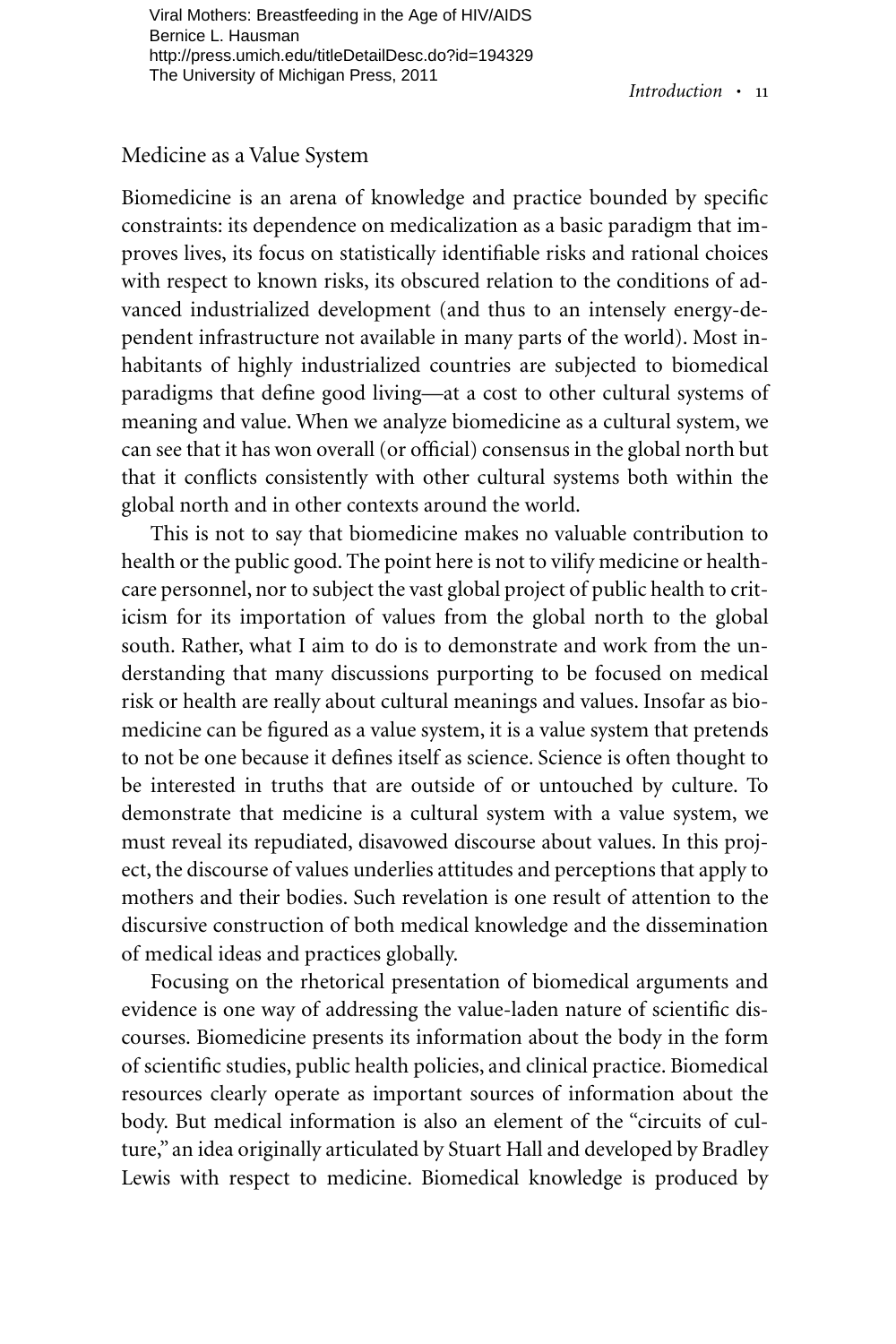#### Medicine as a Value System

Biomedicine is an arena of knowledge and practice bounded by specific constraints: its dependence on medicalization as a basic paradigm that improves lives, its focus on statistically identifiable risks and rational choices with respect to known risks, its obscured relation to the conditions of advanced industrialized development (and thus to an intensely energy-dependent infrastructure not available in many parts of the world). Most inhabitants of highly industrialized countries are subjected to biomedical paradigms that define good living—at a cost to other cultural systems of meaning and value. When we analyze biomedicine as a cultural system, we can see that it has won overall (or official) consensus in the global north but that it conflicts consistently with other cultural systems both within the global north and in other contexts around the world.

This is not to say that biomedicine makes no valuable contribution to health or the public good. The point here is not to vilify medicine or healthcare personnel, nor to subject the vast global project of public health to criticism for its importation of values from the global north to the global south. Rather, what I aim to do is to demonstrate and work from the understanding that many discussions purporting to be focused on medical risk or health are really about cultural meanings and values. Insofar as biomedicine can be figured as a value system, it is a value system that pretends to not be one because it defines itself as science. Science is often thought to be interested in truths that are outside of or untouched by culture. To demonstrate that medicine is a cultural system with a value system, we must reveal its repudiated, disavowed discourse about values. In this project, the discourse of values underlies attitudes and perceptions that apply to mothers and their bodies. Such revelation is one result of attention to the discursive construction of both medical knowledge and the dissemination of medical ideas and practices globally.

Focusing on the rhetorical presentation of biomedical arguments and evidence is one way of addressing the value-laden nature of scientific discourses. Biomedicine presents its information about the body in the form of scientific studies, public health policies, and clinical practice. Biomedical resources clearly operate as important sources of information about the body. But medical information is also an element of the "circuits of culture," an idea originally articulated by Stuart Hall and developed by Bradley Lewis with respect to medicine. Biomedical knowledge is produced by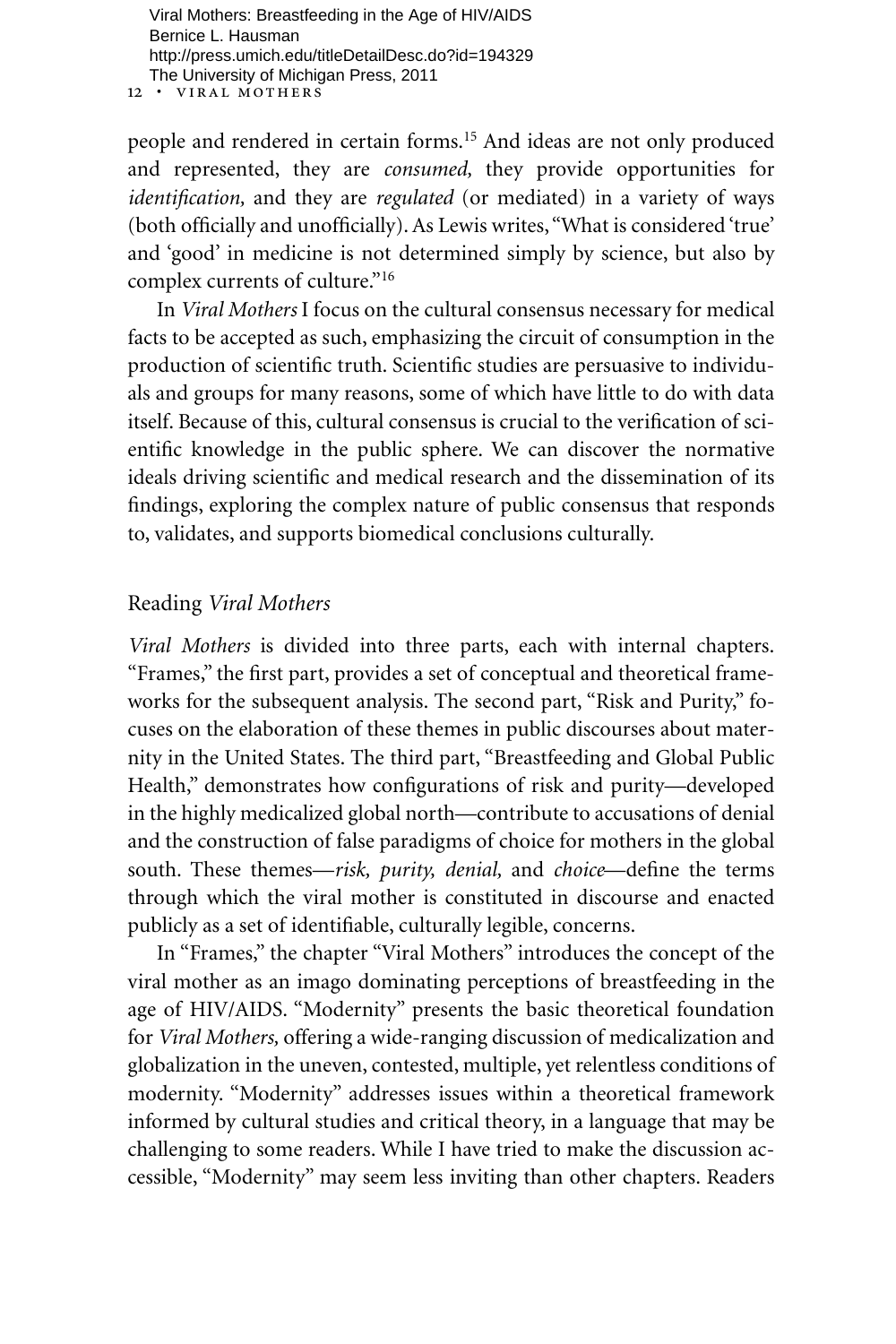```
12 • viral mothers
Viral Mothers: Breastfeeding in the Age of HIV/AIDS 
Bernice L. Hausman 
http://press.umich.edu/titleDetailDesc.do?id=194329 
The University of Michigan Press, 2011
```
people and rendered in certain forms.<sup>15</sup> And ideas are not only produced and represented, they are *consumed,* they provide opportunities for *identification*, and they are *regulated* (or mediated) in a variety of ways (both officially and unofficially). As Lewis writes, "What is considered 'true' and 'good' in medicine is not determined simply by science, but also by complex currents of culture."<sup>16</sup>

In *Viral Mothers* I focus on the cultural consensus necessary for medical facts to be accepted as such, emphasizing the circuit of consumption in the production of scientific truth. Scientific studies are persuasive to individuals and groups for many reasons, some of which have little to do with data itself. Because of this, cultural consensus is crucial to the verification of scientific knowledge in the public sphere. We can discover the normative ideals driving scientific and medical research and the dissemination of its findings, exploring the complex nature of public consensus that responds to, validates, and supports biomedical conclusions culturally.

# Reading *Viral Mothers*

*Viral Mothers* is divided into three parts, each with internal chapters. "Frames," the first part, provides a set of conceptual and theoretical frameworks for the subsequent analysis. The second part, "Risk and Purity," focuses on the elaboration of these themes in public discourses about maternity in the United States. The third part, "Breastfeeding and Global Public Health," demonstrates how configurations of risk and purity—developed in the highly medicalized global north—contribute to accusations of denial and the construction of false paradigms of choice for mothers in the global south. These themes—*risk, purity, denial,* and *choice*—define the terms through which the viral mother is constituted in discourse and enacted publicly as a set of identifiable, culturally legible, concerns.

In "Frames," the chapter "Viral Mothers" introduces the concept of the viral mother as an imago dominating perceptions of breastfeeding in the age of HIV/AIDS. "Modernity" presents the basic theoretical foundation for *Viral Mothers,* offering a wide-ranging discussion of medicalization and globalization in the uneven, contested, multiple, yet relentless conditions of modernity. "Modernity" addresses issues within a theoretical framework informed by cultural studies and critical theory, in a language that may be challenging to some readers. While I have tried to make the discussion accessible, "Modernity" may seem less inviting than other chapters. Readers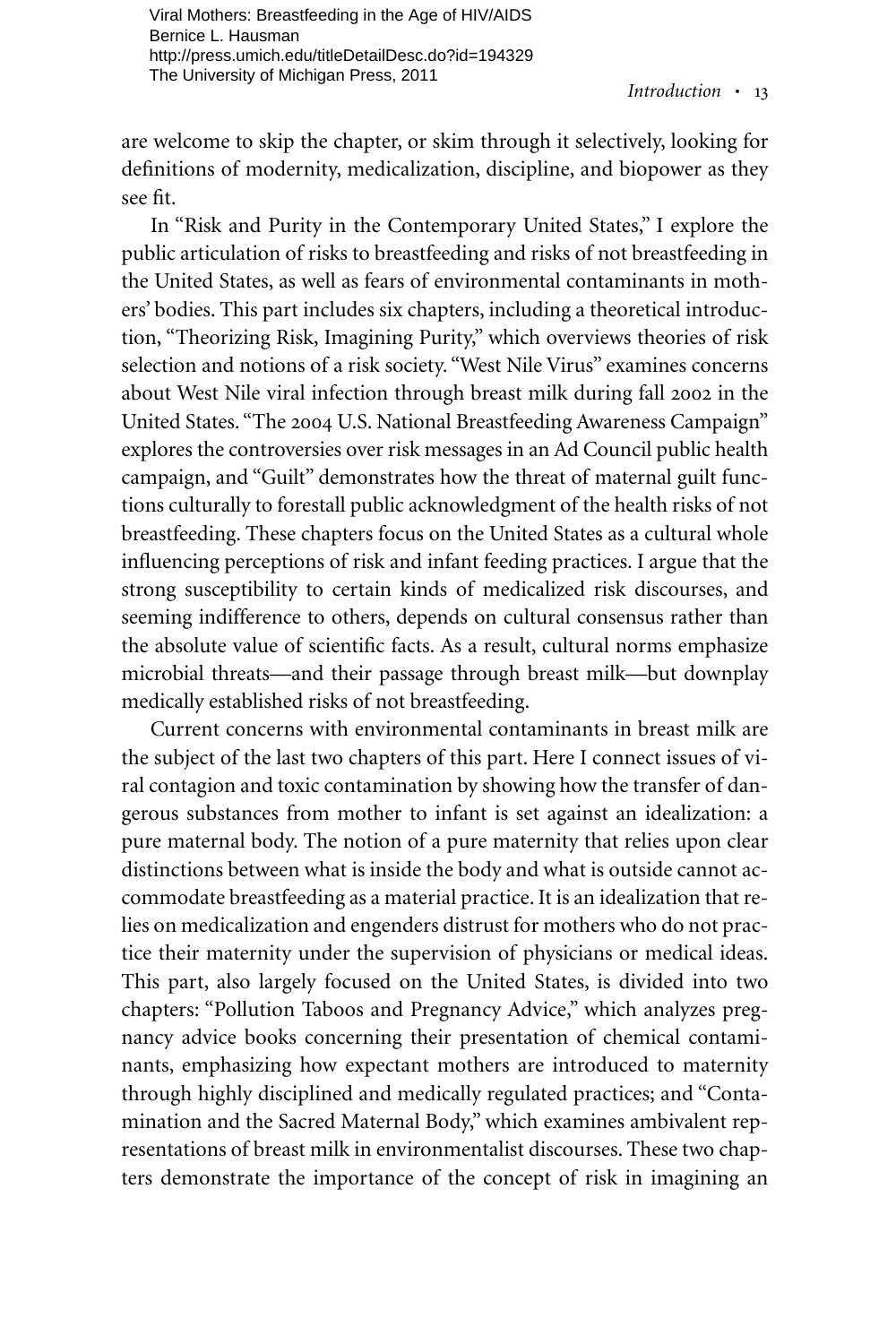are welcome to skip the chapter, or skim through it selectively, looking for definitions of modernity, medicalization, discipline, and biopower as they see fit.

In "Risk and Purity in the Contemporary United States," I explore the public articulation of risks to breastfeeding and risks of not breastfeeding in the United States, as well as fears of environmental contaminants in mothers' bodies. This part includes six chapters, including a theoretical introduction, "Theorizing Risk, Imagining Purity," which overviews theories of risk selection and notions of a risk society. "West Nile Virus" examines concerns about West Nile viral infection through breast milk during fall 2002 in the United States. "The 2004 U.S. National Breastfeeding Awareness Campaign" explores the controversies over risk messages in an Ad Council public health campaign, and "Guilt" demonstrates how the threat of maternal guilt functions culturally to forestall public acknowledgment of the health risks of not breastfeeding. These chapters focus on the United States as a cultural whole influencing perceptions of risk and infant feeding practices. I argue that the strong susceptibility to certain kinds of medicalized risk discourses, and seeming indifference to others, depends on cultural consensus rather than the absolute value of scientific facts. As a result, cultural norms emphasize microbial threats—and their passage through breast milk—but downplay medically established risks of not breastfeeding.

Current concerns with environmental contaminants in breast milk are the subject of the last two chapters of this part. Here I connect issues of viral contagion and toxic contamination by showing how the transfer of dangerous substances from mother to infant is set against an idealization: a pure maternal body. The notion of a pure maternity that relies upon clear distinctions between what is inside the body and what is outside cannot accommodate breastfeeding as a material practice. It is an idealization that relies on medicalization and engenders distrust for mothers who do not practice their maternity under the supervision of physicians or medical ideas. This part, also largely focused on the United States, is divided into two chapters: "Pollution Taboos and Pregnancy Advice," which analyzes pregnancy advice books concerning their presentation of chemical contaminants, emphasizing how expectant mothers are introduced to maternity through highly disciplined and medically regulated practices; and "Contamination and the Sacred Maternal Body," which examines ambivalent representations of breast milk in environmentalist discourses. These two chapters demonstrate the importance of the concept of risk in imagining an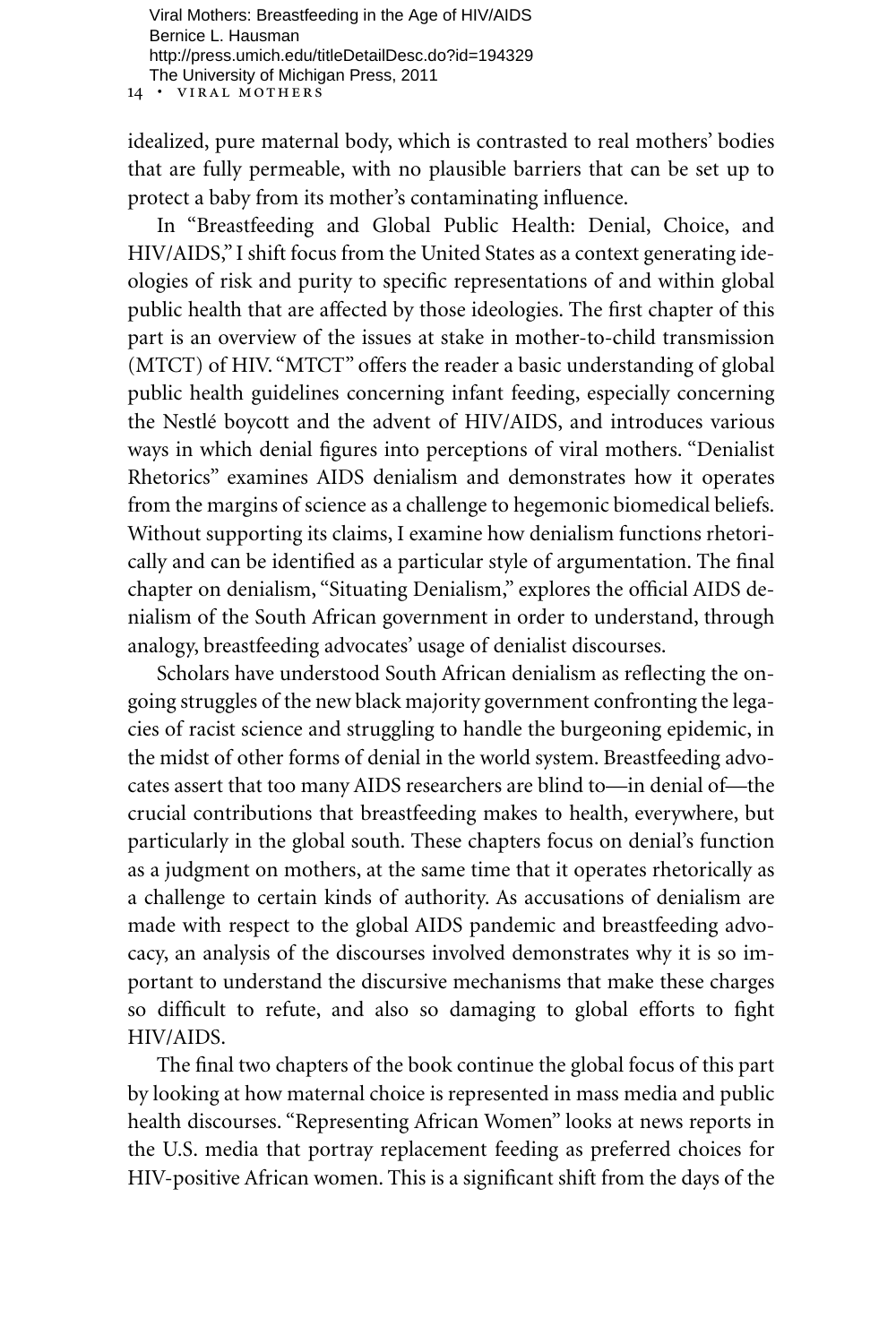14 • viral mothers

idealized, pure maternal body, which is contrasted to real mothers' bodies that are fully permeable, with no plausible barriers that can be set up to protect a baby from its mother's contaminating influence.

In "Breastfeeding and Global Public Health: Denial, Choice, and HIV/AIDS," I shift focus from the United States as a context generating ideologies of risk and purity to specific representations of and within global public health that are affected by those ideologies. The first chapter of this part is an overview of the issues at stake in mother-to-child transmission (MTCT) of HIV. "MTCT" offers the reader a basic understanding of global public health guidelines concerning infant feeding, especially concerning the Nestlé boycott and the advent of HIV/AIDS, and introduces various ways in which denial figures into perceptions of viral mothers. "Denialist Rhetorics" examines AIDS denialism and demonstrates how it operates from the margins of science as a challenge to hegemonic biomedical beliefs. Without supporting its claims, I examine how denialism functions rhetorically and can be identified as a particular style of argumentation. The final chapter on denialism, "Situating Denialism," explores the official AIDS denialism of the South African government in order to understand, through analogy, breastfeeding advocates' usage of denialist discourses.

Scholars have understood South African denialism as reflecting the ongoing struggles of the new black majority government confronting the legacies of racist science and struggling to handle the burgeoning epidemic, in the midst of other forms of denial in the world system. Breastfeeding advocates assert that too many AIDS researchers are blind to—in denial of—the crucial contributions that breastfeeding makes to health, everywhere, but particularly in the global south. These chapters focus on denial's function as a judgment on mothers, at the same time that it operates rhetorically as a challenge to certain kinds of authority. As accusations of denialism are made with respect to the global AIDS pandemic and breastfeeding advocacy, an analysis of the discourses involved demonstrates why it is so important to understand the discursive mechanisms that make these charges so difficult to refute, and also so damaging to global efforts to fight HIV/AIDS.

The final two chapters of the book continue the global focus of this part by looking at how maternal choice is represented in mass media and public health discourses. "Representing African Women" looks at news reports in the U.S. media that portray replacement feeding as preferred choices for HIV-positive African women. This is a significant shift from the days of the